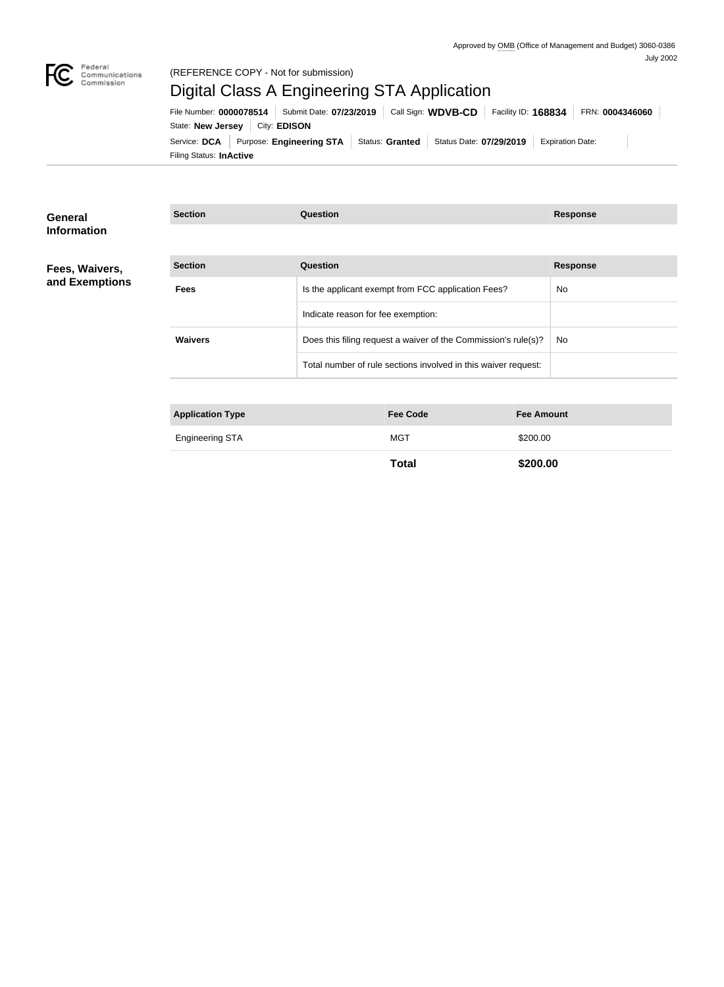

#### (REFERENCE COPY - Not for submission)

# Digital Class A Engineering STA Application

Filing Status: **InActive** Service: DCA Purpose: Engineering STA Status: Granted Status Date: 07/29/2019 Expiration Date: State: **New Jersey** | City: **EDISON** File Number: **0000078514** Submit Date: **07/23/2019** Call Sign: **WDVB-CD** Facility ID: **168834** FRN: **0004346060**

| <b>General</b><br><b>Information</b> | <b>Section</b>          | Question                                                       | <b>Response</b> |
|--------------------------------------|-------------------------|----------------------------------------------------------------|-----------------|
|                                      |                         |                                                                |                 |
| Fees, Waivers,                       | <b>Section</b>          | Question                                                       | <b>Response</b> |
| and Exemptions                       | <b>Fees</b>             | Is the applicant exempt from FCC application Fees?             | No.             |
|                                      |                         | Indicate reason for fee exemption:                             |                 |
|                                      | <b>Waivers</b>          | Does this filing request a waiver of the Commission's rule(s)? | No.             |
|                                      |                         | Total number of rule sections involved in this waiver request: |                 |
|                                      |                         |                                                                |                 |
|                                      | <b>Application Type</b> | <b>Fee Code</b><br><b>Fee Amount</b>                           |                 |

| . .<br>- -      |     |          |
|-----------------|-----|----------|
| Engineering STA | MG1 | \$200.00 |
|                 |     |          |

**Total \$200.00**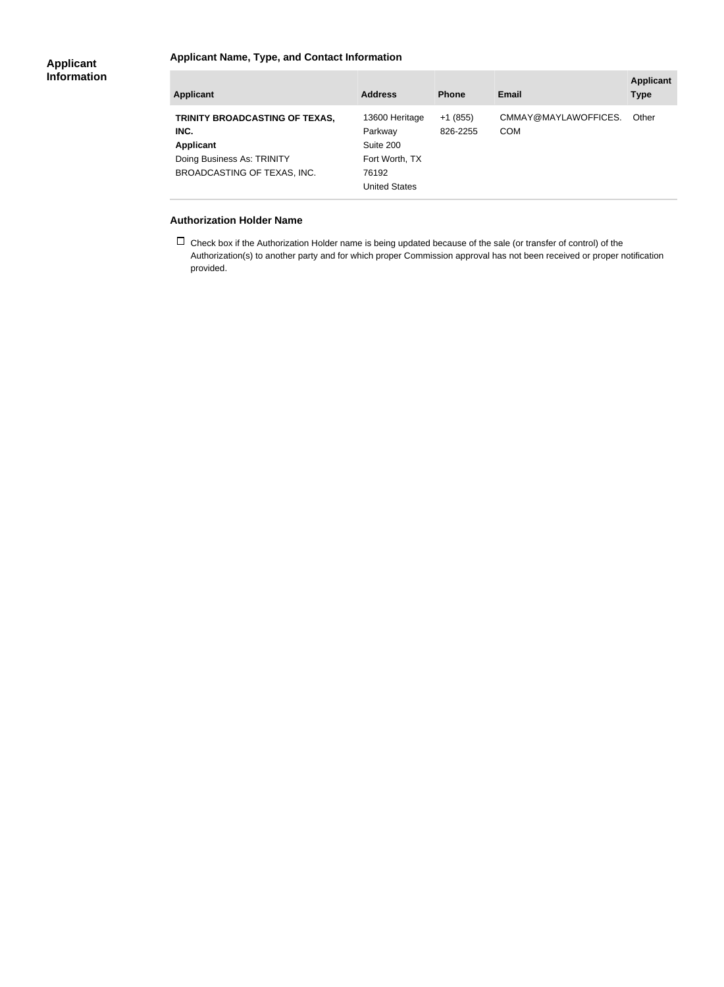### **Applicant Name, Type, and Contact Information**

| <b>Applicant</b>                                                                                                        | <b>Address</b>                                                                     | <b>Phone</b>          | <b>Email</b>                       | <b>Applicant</b><br><b>Type</b> |
|-------------------------------------------------------------------------------------------------------------------------|------------------------------------------------------------------------------------|-----------------------|------------------------------------|---------------------------------|
| TRINITY BROADCASTING OF TEXAS,<br>INC.<br><b>Applicant</b><br>Doing Business As: TRINITY<br>BROADCASTING OF TEXAS, INC. | 13600 Heritage<br>Parkway<br>Suite 200<br>Fort Worth, TX<br>76192<br>United States | $+1(855)$<br>826-2255 | CMMAY@MAYLAWOFFICES.<br><b>COM</b> | Other                           |

#### **Authorization Holder Name**

 $\Box$  Check box if the Authorization Holder name is being updated because of the sale (or transfer of control) of the Authorization(s) to another party and for which proper Commission approval has not been received or proper notification provided.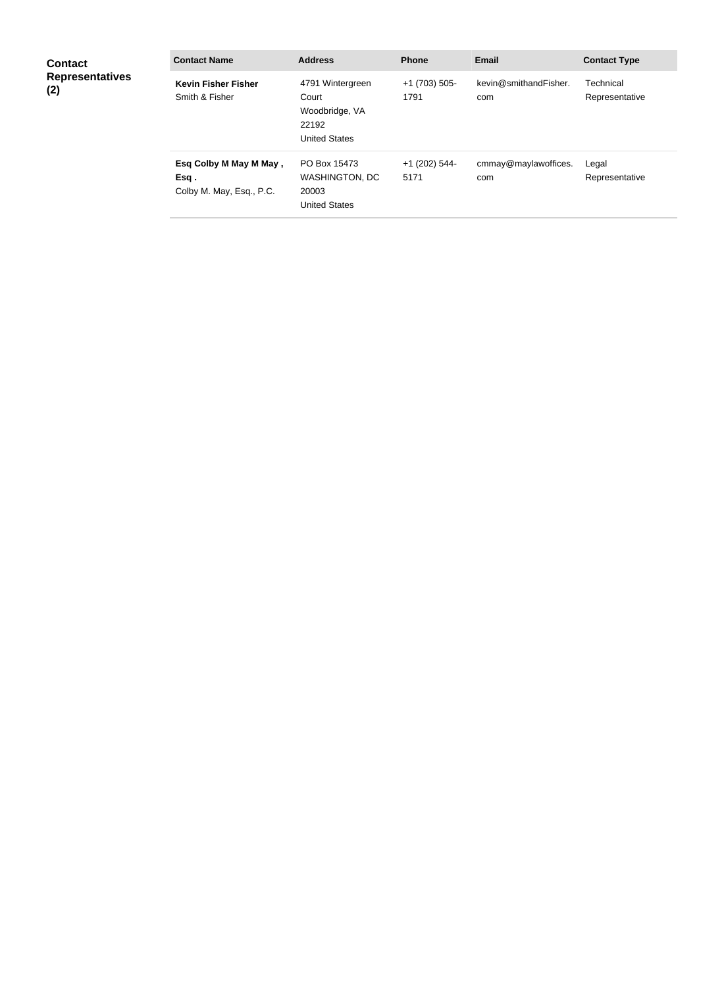| <b>Contact</b><br><b>Representatives</b><br>(2) | <b>Contact Name</b>                                         | <b>Address</b>                                                               | <b>Phone</b>            | <b>Email</b>                 | <b>Contact Type</b>         |
|-------------------------------------------------|-------------------------------------------------------------|------------------------------------------------------------------------------|-------------------------|------------------------------|-----------------------------|
|                                                 | <b>Kevin Fisher Fisher</b><br>Smith & Fisher                | 4791 Wintergreen<br>Court<br>Woodbridge, VA<br>22192<br><b>United States</b> | $+1$ (703) 505-<br>1791 | kevin@smithandFisher.<br>com | Technical<br>Representative |
|                                                 | Esq Colby M May M May,<br>Esq .<br>Colby M. May, Esq., P.C. | PO Box 15473<br><b>WASHINGTON, DC</b><br>20003<br><b>United States</b>       | +1 (202) 544-<br>5171   | cmmay@maylawoffices.<br>com  | Legal<br>Representative     |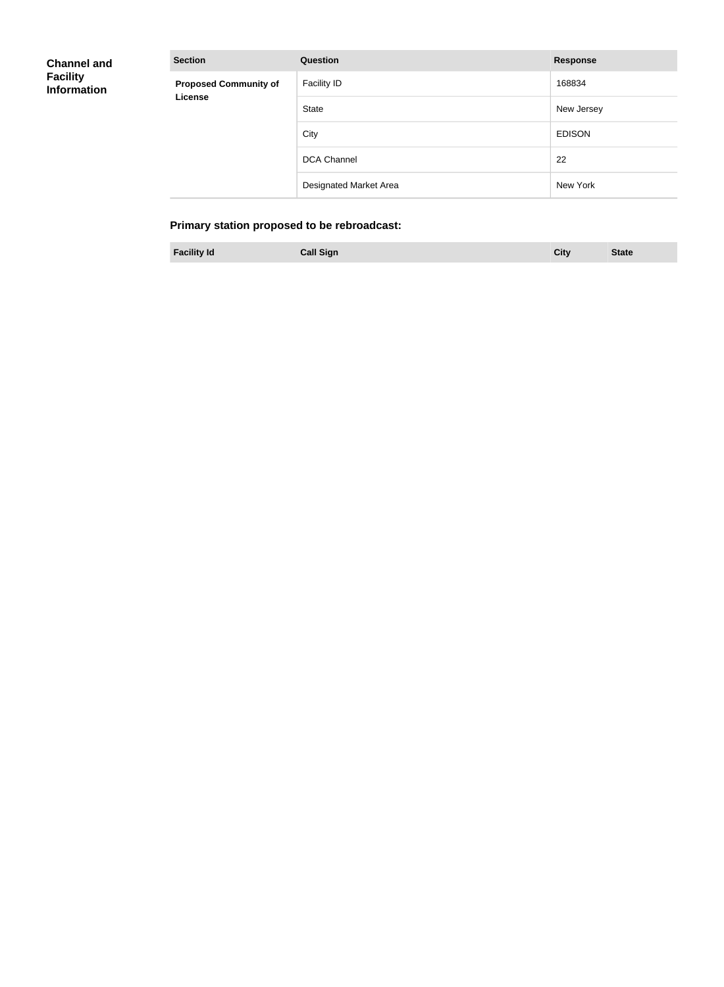| <b>Channel and</b> |
|--------------------|
| <b>Facility</b>    |
| <b>Information</b> |

| <b>Section</b>               | Question               | <b>Response</b> |
|------------------------------|------------------------|-----------------|
| <b>Proposed Community of</b> | <b>Facility ID</b>     | 168834          |
| <b>License</b>               | State                  | New Jersey      |
|                              | City                   | <b>EDISON</b>   |
|                              | <b>DCA Channel</b>     | 22              |
|                              | Designated Market Area | New York        |

# **Primary station proposed to be rebroadcast:**

| <b>Facility Id</b> | <b>Call Sign</b> |  | City | <b>State</b> |
|--------------------|------------------|--|------|--------------|
|--------------------|------------------|--|------|--------------|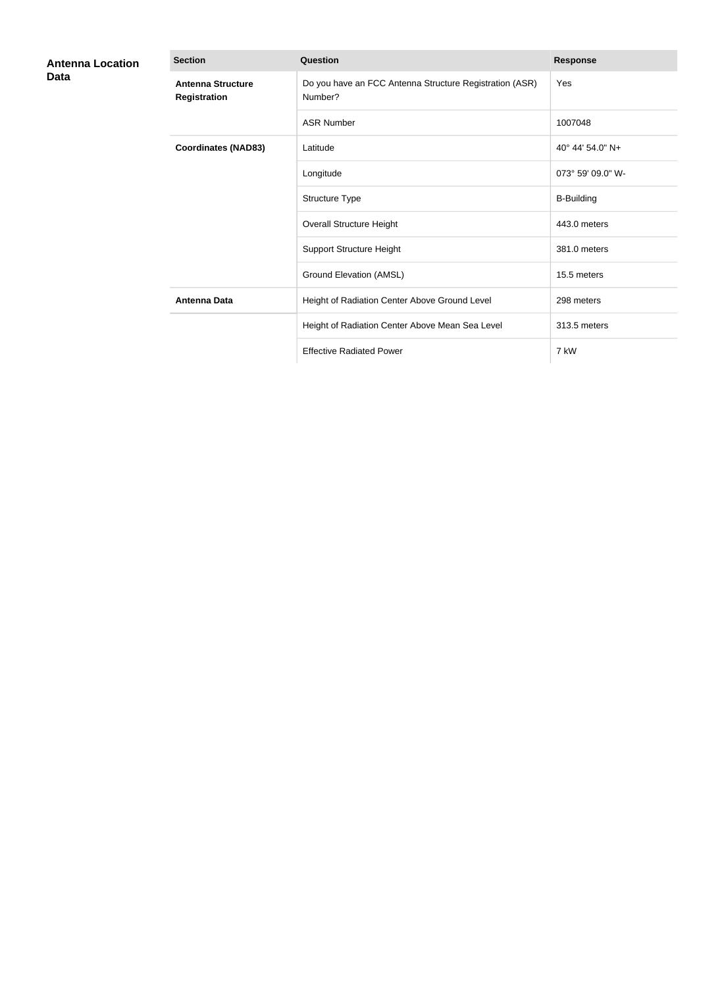| <b>Antenna Location</b><br>Data | <b>Section</b>                                  | Question                                                           | <b>Response</b>   |
|---------------------------------|-------------------------------------------------|--------------------------------------------------------------------|-------------------|
|                                 | <b>Antenna Structure</b><br><b>Registration</b> | Do you have an FCC Antenna Structure Registration (ASR)<br>Number? | Yes               |
|                                 |                                                 | <b>ASR Number</b>                                                  | 1007048           |
|                                 | <b>Coordinates (NAD83)</b>                      | Latitude                                                           | 40° 44' 54.0" N+  |
|                                 |                                                 | Longitude                                                          | 073° 59' 09.0" W- |
|                                 |                                                 | Structure Type                                                     | <b>B-Building</b> |
|                                 |                                                 | <b>Overall Structure Height</b>                                    | 443.0 meters      |
|                                 |                                                 | <b>Support Structure Height</b>                                    | 381.0 meters      |
|                                 |                                                 | Ground Elevation (AMSL)                                            | 15.5 meters       |
|                                 | <b>Antenna Data</b>                             | Height of Radiation Center Above Ground Level                      | 298 meters        |
|                                 |                                                 | Height of Radiation Center Above Mean Sea Level                    | 313.5 meters      |
|                                 |                                                 | <b>Effective Radiated Power</b>                                    | 7 kW              |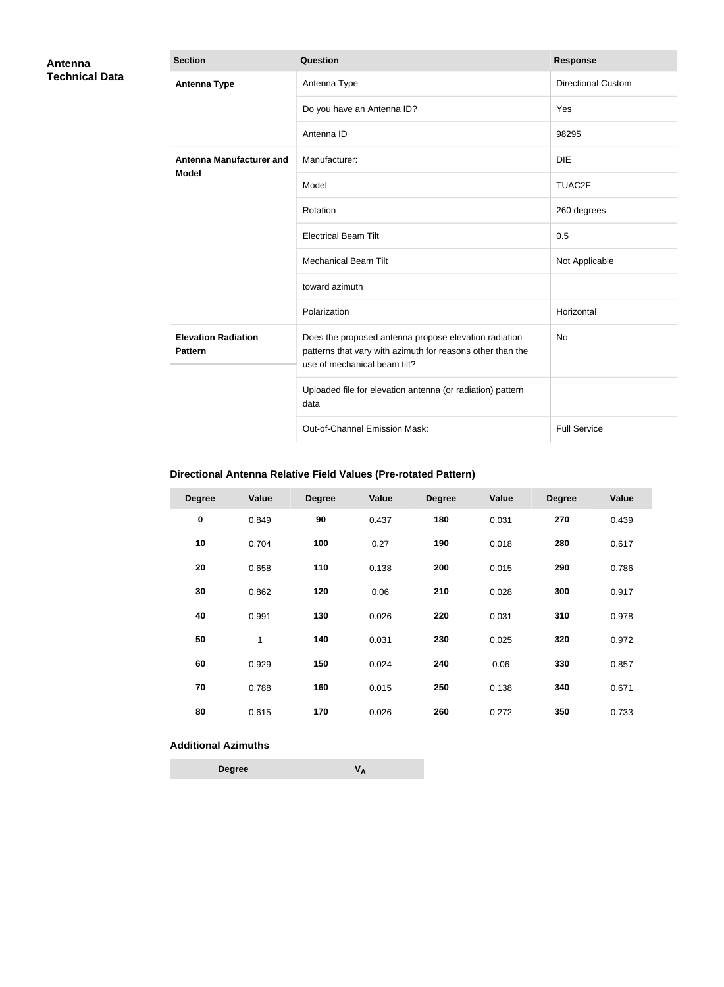| Antenna               | <b>Section</b>                               | Question                                                                                                                                            | <b>Response</b>           |
|-----------------------|----------------------------------------------|-----------------------------------------------------------------------------------------------------------------------------------------------------|---------------------------|
| <b>Technical Data</b> | <b>Antenna Type</b>                          | Antenna Type                                                                                                                                        | <b>Directional Custom</b> |
|                       |                                              | Do you have an Antenna ID?                                                                                                                          | Yes                       |
|                       |                                              | Antenna ID                                                                                                                                          | 98295                     |
|                       | Antenna Manufacturer and                     | Manufacturer:                                                                                                                                       | <b>DIE</b>                |
|                       | <b>Model</b>                                 | Model                                                                                                                                               | TUAC2F                    |
|                       |                                              | Rotation                                                                                                                                            | 260 degrees               |
|                       |                                              | <b>Electrical Beam Tilt</b>                                                                                                                         | 0.5                       |
|                       |                                              | <b>Mechanical Beam Tilt</b>                                                                                                                         | Not Applicable            |
|                       |                                              | toward azimuth                                                                                                                                      |                           |
|                       |                                              | Polarization                                                                                                                                        | Horizontal                |
|                       | <b>Elevation Radiation</b><br><b>Pattern</b> | Does the proposed antenna propose elevation radiation<br>patterns that vary with azimuth for reasons other than the<br>use of mechanical beam tilt? | <b>No</b>                 |
|                       |                                              | Uploaded file for elevation antenna (or radiation) pattern<br>data                                                                                  |                           |
|                       |                                              | Out-of-Channel Emission Mask:                                                                                                                       | <b>Full Service</b>       |

# **Directional Antenna Relative Field Values (Pre-rotated Pattern)**

| <b>Degree</b> | Value | <b>Degree</b> | Value | <b>Degree</b> | Value | <b>Degree</b> | Value |
|---------------|-------|---------------|-------|---------------|-------|---------------|-------|
| $\pmb{0}$     | 0.849 | 90            | 0.437 | 180           | 0.031 | 270           | 0.439 |
| 10            | 0.704 | 100           | 0.27  | 190           | 0.018 | 280           | 0.617 |
| 20            | 0.658 | 110           | 0.138 | 200           | 0.015 | 290           | 0.786 |
| 30            | 0.862 | 120           | 0.06  | 210           | 0.028 | 300           | 0.917 |
| 40            | 0.991 | 130           | 0.026 | 220           | 0.031 | 310           | 0.978 |
| 50            | 1     | 140           | 0.031 | 230           | 0.025 | 320           | 0.972 |
| 60            | 0.929 | 150           | 0.024 | 240           | 0.06  | 330           | 0.857 |
| 70            | 0.788 | 160           | 0.015 | 250           | 0.138 | 340           | 0.671 |
| 80            | 0.615 | 170           | 0.026 | 260           | 0.272 | 350           | 0.733 |

## **Additional Azimuths**

| <b>Degree</b> | VΔ |
|---------------|----|
|---------------|----|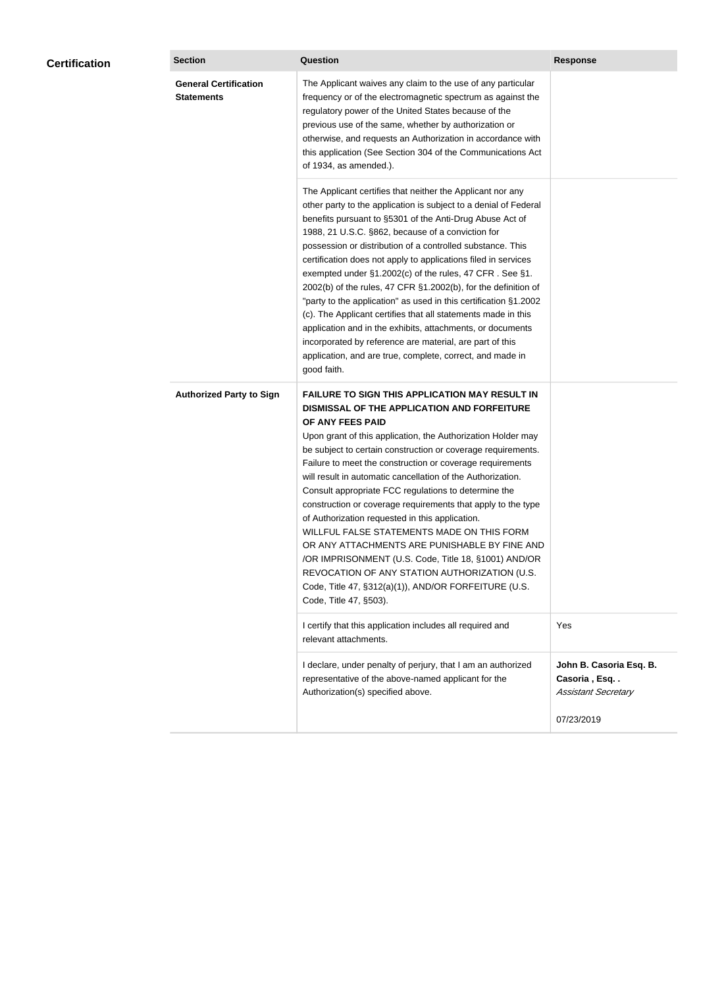| <b>Certification</b> | <b>Section</b>                                    | Question                                                                                                                                                                                                                                                                                                                                                                                                                                                                                                                                                                                                                                                                                                                                                                                                                                                  | <b>Response</b>                                                       |  |
|----------------------|---------------------------------------------------|-----------------------------------------------------------------------------------------------------------------------------------------------------------------------------------------------------------------------------------------------------------------------------------------------------------------------------------------------------------------------------------------------------------------------------------------------------------------------------------------------------------------------------------------------------------------------------------------------------------------------------------------------------------------------------------------------------------------------------------------------------------------------------------------------------------------------------------------------------------|-----------------------------------------------------------------------|--|
|                      | <b>General Certification</b><br><b>Statements</b> | The Applicant waives any claim to the use of any particular<br>frequency or of the electromagnetic spectrum as against the<br>regulatory power of the United States because of the<br>previous use of the same, whether by authorization or<br>otherwise, and requests an Authorization in accordance with<br>this application (See Section 304 of the Communications Act<br>of 1934, as amended.).                                                                                                                                                                                                                                                                                                                                                                                                                                                       |                                                                       |  |
|                      |                                                   | The Applicant certifies that neither the Applicant nor any<br>other party to the application is subject to a denial of Federal<br>benefits pursuant to §5301 of the Anti-Drug Abuse Act of<br>1988, 21 U.S.C. §862, because of a conviction for<br>possession or distribution of a controlled substance. This<br>certification does not apply to applications filed in services<br>exempted under §1.2002(c) of the rules, 47 CFR. See §1.<br>2002(b) of the rules, 47 CFR §1.2002(b), for the definition of<br>"party to the application" as used in this certification §1.2002<br>(c). The Applicant certifies that all statements made in this<br>application and in the exhibits, attachments, or documents<br>incorporated by reference are material, are part of this<br>application, and are true, complete, correct, and made in<br>good faith.   |                                                                       |  |
|                      | <b>Authorized Party to Sign</b>                   | <b>FAILURE TO SIGN THIS APPLICATION MAY RESULT IN</b><br>DISMISSAL OF THE APPLICATION AND FORFEITURE<br>OF ANY FEES PAID<br>Upon grant of this application, the Authorization Holder may<br>be subject to certain construction or coverage requirements.<br>Failure to meet the construction or coverage requirements<br>will result in automatic cancellation of the Authorization.<br>Consult appropriate FCC regulations to determine the<br>construction or coverage requirements that apply to the type<br>of Authorization requested in this application.<br>WILLFUL FALSE STATEMENTS MADE ON THIS FORM<br>OR ANY ATTACHMENTS ARE PUNISHABLE BY FINE AND<br>/OR IMPRISONMENT (U.S. Code, Title 18, §1001) AND/OR<br>REVOCATION OF ANY STATION AUTHORIZATION (U.S.<br>Code, Title 47, §312(a)(1)), AND/OR FORFEITURE (U.S.<br>Code, Title 47, §503). |                                                                       |  |
|                      |                                                   | I certify that this application includes all required and<br>relevant attachments.                                                                                                                                                                                                                                                                                                                                                                                                                                                                                                                                                                                                                                                                                                                                                                        | Yes                                                                   |  |
|                      |                                                   | I declare, under penalty of perjury, that I am an authorized<br>representative of the above-named applicant for the<br>Authorization(s) specified above.                                                                                                                                                                                                                                                                                                                                                                                                                                                                                                                                                                                                                                                                                                  | John B. Casoria Esq. B.<br>Casoria, Esq<br><b>Assistant Secretary</b> |  |
|                      |                                                   |                                                                                                                                                                                                                                                                                                                                                                                                                                                                                                                                                                                                                                                                                                                                                                                                                                                           | 07/23/2019                                                            |  |